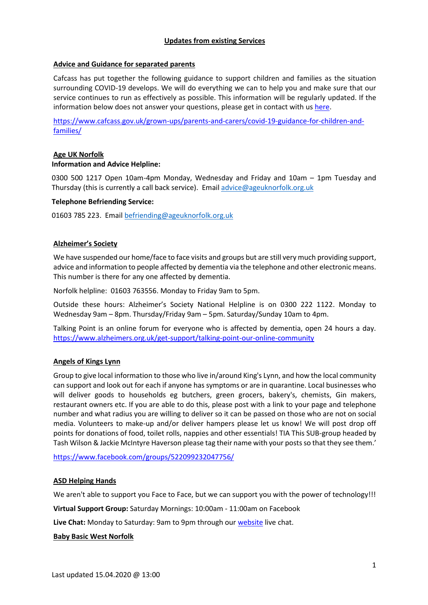### **Updates from existing Services**

## **Advice and Guidance for separated parents**

Cafcass has put together the following guidance to support children and families as the situation surrounding COVID-19 develops. We will do everything we can to help you and make sure that our service continues to run as effectively as possible. This information will be regularly updated. If the information below does not answer your questions, please get in contact with us [here.](https://www.cafcass.gov.uk/contact-us/)

[https://www.cafcass.gov.uk/grown-ups/parents-and-carers/covid-19-guidance-for-children-and](https://www.cafcass.gov.uk/grown-ups/parents-and-carers/covid-19-guidance-for-children-and-families/)[families/](https://www.cafcass.gov.uk/grown-ups/parents-and-carers/covid-19-guidance-for-children-and-families/)

## **Age UK Norfolk Information and Advice Helpline:**

0300 500 1217 Open 10am-4pm Monday, Wednesday and Friday and 10am – 1pm Tuesday and Thursday (this is currently a call back service). Email [advice@ageuknorfolk.org.uk](mailto:advice@ageuknorfolk.org.uk)

### **Telephone Befriending Service:**

01603 785 223. Email [befriending@ageuknorfolk.org.uk](mailto:befriending@ageuknorfolk.org.uk)

### **Alzheimer's Society**

We have suspended our home/face to face visits and groups but are still very much providing support, advice and information to people affected by dementia via the telephone and other electronic means. This number is there for any one affected by dementia.

Norfolk helpline: 01603 763556. Monday to Friday 9am to 5pm.

Outside these hours: Alzheimer's Society National Helpline is on 0300 222 1122. Monday to Wednesday 9am – 8pm. Thursday/Friday 9am – 5pm. Saturday/Sunday 10am to 4pm.

Talking Point is an online forum for everyone who is affected by dementia, open 24 hours a day. [https://www.alzheimers.org.uk/get-support/talking-point-our-online-community](https://eur01.safelinks.protection.outlook.com/?url=https%3A%2F%2Fprotect-eu.mimecast.com%2Fs%2FDvveCRo6gTGwE8nsqrW5a&data=01%7C01%7Cjulie.allen%40alzheimers.org.uk%7Ca6397b26a83544f63b0208d7cf1f6250%7C8028081de881430fa45166faa9b76c8e%7C0&sdata=B1sBJgTnUzeAb5eei6kYOGV0rliuDzhSCcNTb6MEz10%3D&reserved=0)

## **Angels of Kings Lynn**

Group to give local information to those who live in/around King's Lynn, and how the local community can support and look out for each if anyone has symptoms or are in quarantine. Local businesses who will deliver goods to households eg butchers, green grocers, bakery's, chemists, Gin makers, restaurant owners etc. If you are able to do this, please post with a link to your page and telephone number and what radius you are willing to deliver so it can be passed on those who are not on social media. Volunteers to make-up and/or deliver hampers please let us know! We will post drop off points for donations of food, toilet rolls, nappies and other essentials! TIA This SUB-group headed by Tash Wilson & Jackie McIntyre Haverson please tag their name with your posts so that they see them.'

<https://www.facebook.com/groups/522099232047756/>

### **ASD Helping Hands**

We aren't able to support you Face to Face, but we can support you with the power of technology!!!

**Virtual Support Group:** Saturday Mornings: 10:00am - 11:00am on Facebook

**Live Chat:** Monday to Saturday: 9am to 9pm through our [website](https://www.asdhelpinghands.org.uk/so/20N44nVX9/c?w=tOGKDtceilBaRgtXQz1cTFgAQpp-35l8PrZCDVZwQcY.eyJ1IjoiaHR0cHM6Ly93d3cuYXNkaGVscGluZ2hhbmRzLm9yZy51ayIsInIiOiI2Zjc3NzkxNC1hYTE1LTQ4MWItM2RiYS03ZmFiYjhlMWVmNWEiLCJtIjoibWFpbCIsImMiOiJlYjAxOTM1ZS03MTE1LTRiNzgtOGU5Ni1kMDk3YjUzY2Y5YmUifQ) live chat.

#### **Baby Basic West Norfolk**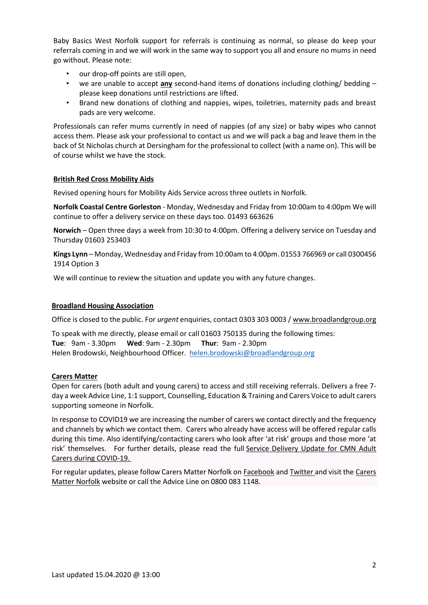Baby Basics West Norfolk support for referrals is continuing as normal, so please do keep your referrals coming in and we will work in the same way to support you all and ensure no mums in need go without. Please note:

- our drop-off points are still open,
- we are unable to accept **any** second-hand items of donations including clothing/ bedding please keep donations until restrictions are lifted.
- Brand new donations of clothing and nappies, wipes, toiletries, maternity pads and breast pads are very welcome.

Professionals can refer mums currently in need of nappies (of any size) or baby wipes who cannot access them. Please ask your professional to contact us and we will pack a bag and leave them in the back of St Nicholas church at Dersingham for the professional to collect (with a name on). This will be of course whilst we have the stock.

## **British Red Cross Mobility Aids**

Revised opening hours for Mobility Aids Service across three outlets in Norfolk.

**Norfolk Coastal Centre Gorleston** - Monday, Wednesday and Friday from 10:00am to 4:00pm We will continue to offer a delivery service on these days too. 01493 663626

**Norwich** – Open three days a week from 10:30 to 4:00pm. Offering a delivery service on Tuesday and Thursday 01603 253403

**Kings Lynn** – Monday, Wednesday and Friday from 10:00am to 4:00pm. 01553 766969 or call 0300456 1914 Option 3

We will continue to review the situation and update you with any future changes.

### **Broadland Housing Association**

Office is closed to the public. For *urgent* enquiries, contact 0303 303 0003 / [www.broadlandgroup.org](file://///norfolk.gov.uk/nccdfs1/CS-FS1/Management/Preparing%20Business/Officer%20Representation/Directorate%20Share/EXECUTIVE%20SUPPORT/Deborah%20Jones/Brooke,%20Amy/COVID19/V3%20Resource/Partner%20Support%20Pack/www.broadlandgroup.org)

To speak with me directly, please email or call 01603 750135 during the following times: **Tue**: 9am - 3.30pm **Wed**: 9am - 2.30pm **Thur**: 9am - 2.30pm Helen Brodowski, Neighbourhood Officer. [helen.brodowski@broadlandgroup.org](mailto:helen.brodowski@broadlandgroup.org)

# **Carers Matter**

Open for carers (both adult and young carers) to access and still receiving referrals. Delivers a free 7 day a week Advice Line, 1:1 support, Counselling, Education & Training and Carers Voice to adult carers supporting someone in Norfolk.

In response to COVID19 we are increasing the number of carers we contact directly and the frequency and channels by which we contact them. Carers who already have access will be offered regular calls during this time. Also identifying/contacting carers who look after 'at risk' groups and those more 'at risk' themselves. For further details, please read the full [Service Delivery Update for CMN Adult](https://www.voluntarynorfolk.org.uk/wp-content/uploads/2020/03/Service-Delivery-Update-for-CMN-Adult-Public-COVID-19.pdf)  [Carers during COVID-19.](https://www.voluntarynorfolk.org.uk/wp-content/uploads/2020/03/Service-Delivery-Update-for-CMN-Adult-Public-COVID-19.pdf)

For regular updates, please follow Carers Matter Norfolk on [Facebook](https://www.facebook.com/CarersMatterNorfolk) and [Twitter](https://twitter.com/CarersMatterNfk) and visit the [Carers](https://carersmatternorfolk.org.uk/)  [Matter Norfolk](https://carersmatternorfolk.org.uk/) website or call the Advice Line on 0800 083 1148.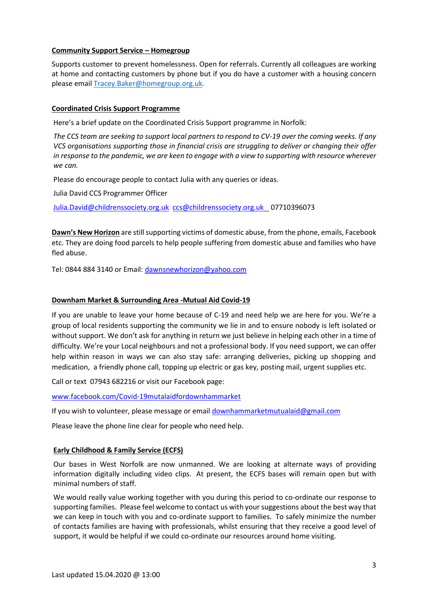### **Community Support Service - Homegroup**

Supports customer to prevent homelessness. Open for referrals. Currently all colleagues are working at home and contacting customers by phone but if you do have a customer with a housing concern please emai[l Tracey.Baker@homegroup.org.uk.](mailto:Tracey.Baker@homegroup.org.uk)

### **Coordinated Crisis Support Programme**

Here's a brief update on the Coordinated Crisis Support programme in Norfolk:

*The CCS team are seeking to support local partners to respond to CV-19 over the coming weeks. If any VCS organisations supporting those in financial crisis are struggling to deliver or changing their offer in response to the pandemic, we are keen to engage with a view to supporting with resource wherever we can.* 

Please do encourage people to contact Julia with any queries or ideas.

Julia David CCS Programmer Officer

[Julia.David@childrenssociety.org.uk](mailto:Julia.David@childrenssociety.org.uk) [ccs@childrenssociety.org.uk](mailto:ccs@childrenssociety.org.uk) 07710396073

**Dawn's New Horizon** are still supporting victims of domestic abuse, from the phone, emails, Facebook etc. They are doing food parcels to help people suffering from domestic abuse and families who have fled abuse.

Tel: 0844 884 3140 or Email[: dawnsnewhorizon@yahoo.com](mailto:dawnsnewhorizon@yahoo.com)

### **Downham Market & Surrounding Area -Mutual Aid Covid-19**

If you are unable to leave your home because of C-19 and need help we are here for you. We're a group of local residents supporting the community we lie in and to ensure nobody is left isolated or without support. We don't ask for anything in return we just believe in helping each other in a time of difficulty. We're your Local neighbours and not a professional body. If you need support, we can offer help within reason in ways we can also stay safe: arranging deliveries, picking up shopping and medication, a friendly phone call, topping up electric or gas key, posting mail, urgent supplies etc.

Call or text 07943 682216 or visit our Facebook page:

[www.facebook.com/Covid-19mutalaidfordownhammarket](http://www.facebook.com/Covid-19mutalaidfordownhammarket)

If you wish to volunteer, please message or email [downhammarketmutualaid@gmail.com](mailto:downhammarketmutualaid@gmail.com)

Please leave the phone line clear for people who need help.

### **Early Childhood & Family Service (ECFS)**

Our bases in West Norfolk are now unmanned. We are looking at alternate ways of providing information digitally including video clips. At present, the ECFS bases will remain open but with minimal numbers of staff.

We would really value working together with you during this period to co-ordinate our response to supporting families. Please feel welcome to contact us with your suggestions about the best way that we can keep in touch with you and co-ordinate support to families. To safely minimize the number of contacts families are having with professionals, whilst ensuring that they receive a good level of support, it would be helpful if we could co-ordinate our resources around home visiting.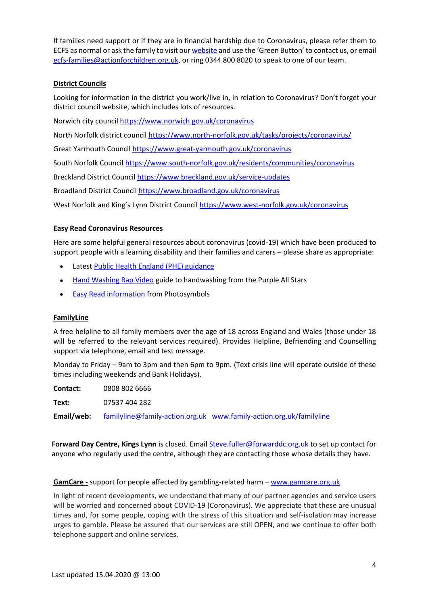If families need support or if they are in financial hardship due to Coronavirus, please refer them to ECFS as normal or ask the family to visit ou[r website](https://www.norfolk.gov.uk/children-and-families/early-childhood-and-family-service) and use the 'Green Button' to contact us, or email [ecfs-families@actionforchildren.org.uk,](mailto:ecfs-families@actionforchildren.org.uk) or ring 0344 800 8020 to speak to one of our team.

## **District Councils**

Looking for information in the district you work/live in, in relation to Coronavirus? Don't forget your district council website, which includes lots of resources.

Norwich city council<https://www.norwich.gov.uk/coronavirus>

North Norfolk district counci[l https://www.north-norfolk.gov.uk/tasks/projects/coronavirus/](https://www.north-norfolk.gov.uk/tasks/projects/coronavirus/)

Great Yarmouth Council<https://www.great-yarmouth.gov.uk/coronavirus>

South Norfolk Council<https://www.south-norfolk.gov.uk/residents/communities/coronavirus>

Breckland District Council<https://www.breckland.gov.uk/service-updates>

Broadland District Counci[l https://www.broadland.gov.uk/coronavirus](https://www.broadland.gov.uk/coronavirus) 

West Norfolk and King's Lynn District Council <https://www.west-norfolk.gov.uk/coronavirus>

## **Easy Read Coronavirus Resources**

Here are some helpful general resources about coronavirus (covid-19) which have been produced to support people with a learning disability and their families and carers – please share as appropriate:

- Latest [Public Health England \(PHE\) guidance](https://assets.publishing.service.gov.uk/government/uploads/system/uploads/attachment_data/file/874281/COVID-19_easy_read.pdf)
- [Hand Washing Rap Video](https://vimeo.com/134952598) guide to handwashing from the Purple All Stars
- [Easy Read information](http://bit.ly/coronavirus-poster-1) from Photosymbols

### **FamilyLine**

A free helpline to all family members over the age of 18 across England and Wales (those under 18 will be referred to the relevant services required). Provides Helpline, Befriending and Counselling support via telephone, email and test message.

Monday to Friday – 9am to 3pm and then 6pm to 9pm. (Text crisis line will operate outside of these times including weekends and Bank Holidays).

**Contact:** 0808 802 6666

**Text:** 07537 404 282

**Email/web:** [familyline@family-action.org.uk](mailto:familyline@family-action.org.uk) [www.family-action.org.uk/familyline](http://www.family-action.org.uk/familyline)

**Forward Day Centre, Kings Lynn** is closed. Email [Steve.fuller@forwarddc.org.uk](mailto:Steve.fuller@forwarddc.org.uk) to set up contact for anyone who regularly used the centre, although they are contacting those whose details they have.

### **GamCare -** support for people affected by gambling-related harm – [www.gamcare.org.uk](http://www.gamcare.org.uk/)

In light of recent developments, we understand that many of our partner agencies and service users will be worried and concerned about COVID-19 (Coronavirus). We appreciate that these are unusual times and, for some people, coping with the stress of this situation and self-isolation may increase urges to gamble. Please be assured that our services are still OPEN, and we continue to offer both telephone support and online services.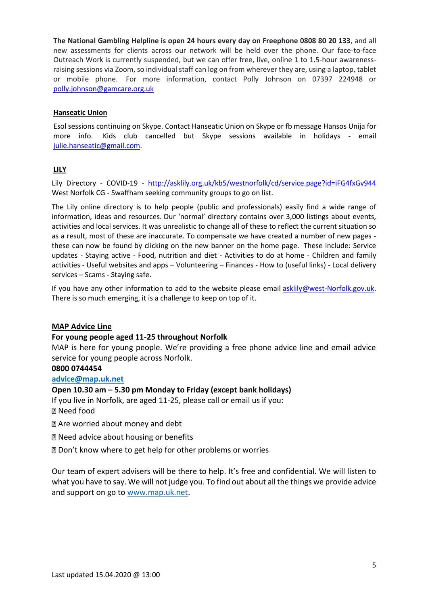**The National Gambling Helpline is open 24 hours every day on Freephone 0808 80 20 133**, and all new assessments for clients across our network will be held over the phone. Our face-to-face Outreach Work is currently suspended, but we can offer free, live, online 1 to 1.5-hour awarenessraising sessions via Zoom, so individual staff can log on from wherever they are, using a laptop, tablet or mobile phone. For more information, contact Polly Johnson on 07397 224948 or [polly.johnson@gamcare.org.uk](mailto:polly.johnson@gamcare.org.uk) 

### **Hanseatic Union**

Esol sessions continuing on Skype. Contact Hanseatic Union on Skype or fb message Hansos Unija for more info. Kids club cancelled but Skype sessions available in holidays - email [julie.hanseatic@gmail.com.](mailto:julie.hanseatic@gmail.com)

## **LILY**

Lily Directory - COVID-19 - <http://asklily.org.uk/kb5/westnorfolk/cd/service.page?id=iFG4fxGv944> West Norfolk CG - Swaffham seeking community groups to go on list.

The Lily online directory is to help people (public and professionals) easily find a wide range of information, ideas and resources. Our 'normal' directory contains over 3,000 listings about events, activities and local services. It was unrealistic to change all of these to reflect the current situation so as a result, most of these are inaccurate. To compensate we have created a number of new pages these can now be found by clicking on the new banner on the home page. These include: Service updates - Staying active - Food, nutrition and diet - Activities to do at home - Children and family activities - Useful websites and apps – Volunteering – Finances - How to (useful links) - Local delivery services – Scams - Staying safe.

If you have any other information to add to the website please email [asklily@west-Norfolk.gov.uk.](mailto:asklily@west-Norfolk.gov.uk) There is so much emerging, it is a challenge to keep on top of it.

# **MAP Advice Line**

### **For young people aged 11-25 throughout Norfolk**

MAP is here for young people. We're providing a free phone advice line and email advice service for young people across Norfolk.

### **0800 0744454**

### **[advice@map.uk.net](mailto:advice@map.uk.net)**

# **Open 10.30 am – 5.30 pm Monday to Friday (except bank holidays)**

If you live in Norfolk, are aged 11-25, please call or email us if you: Need food

Are worried about money and debt

Need advice about housing or benefits

**Don't know where to get help for other problems or worries** 

Our team of expert advisers will be there to help. It's free and confidential. We will listen to what you have to say. We will not judge you. To find out about all the things we provide advice and support on go to [www.map.uk.net.](http://www.map.uk.net/)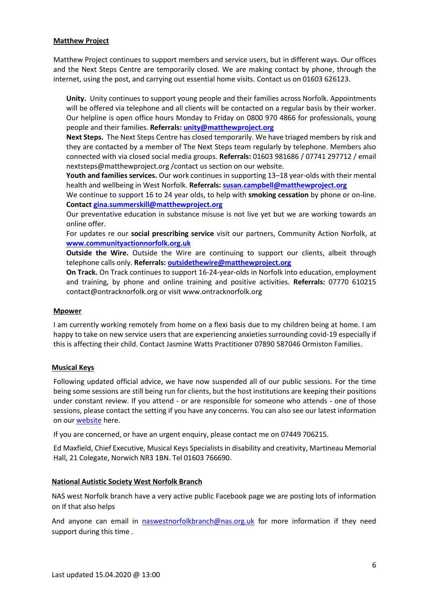### **Matthew Project**

Matthew Project continues to support members and service users, but in different ways. Our offices and the Next Steps Centre are temporarily closed. We are making contact by phone, through the internet, using the post, and carrying out essential home visits. Contact us on 01603 626123.

**Unity.** Unity continues to support young people and their families across Norfolk. Appointments will be offered via telephone and all clients will be contacted on a regular basis by their worker. Our helpline is open office hours Monday to Friday on 0800 970 4866 for professionals, young people and their families. **Referrals: [unity@matthewproject.org](mailto:unity@matthewproject.org)**

**Next Steps.** The Next Steps Centre has closed temporarily. We have triaged members by risk and they are contacted by a member of The Next Steps team regularly by telephone. Members also connected with via closed social media groups. **Referrals:** 01603 981686 / 07741 297712 / email nextsteps@matthewproject.org /contact us section on our website.

**Youth and families services.** Our work continues in supporting 13–18 year-olds with their mental health and wellbeing in West Norfolk. **Referrals: [susan.campbell@matthewproject.org](mailto:susan.campbell@matthewproject.org)**

We continue to support 16 to 24 year olds, to help with **smoking cessation** by phone or on-line. **Contact [gina.summerskill@matthewproject.org](mailto:gina.summerskill@matthewproject.org)**

Our preventative education in substance misuse is not live yet but we are working towards an online offer.

For updates re our **social prescribing service** visit our partners, Community Action Norfolk, at **[www.communityactionnorfolk.org.uk](http://www.communityactionnorfolk.org.uk/)**

**Outside the Wire.** Outside the Wire are continuing to support our clients, albeit through telephone calls only. **Referrals: [outsidethewire@matthewproject.org](mailto:outsidethewire@matthewproject.org)**

**On Track.** On Track continues to support 16-24-year-olds in Norfolk into education, employment and training, by phone and online training and positive activities. **Referrals:** 07770 610215 contact@ontracknorfolk.org or visit www.ontracknorfolk.org

### **Mpower**

I am currently working remotely from home on a flexi basis due to my children being at home. I am happy to take on new service users that are experiencing anxieties surrounding covid-19 especially if this is affecting their child. Contact Jasmine Watts Practitioner 07890 587046 Ormiston Families.

### **Musical Keys**

Following updated official advice, we have now suspended all of our public sessions. For the time being some sessions are still being run for clients, but the host institutions are keeping their positions under constant review. If you attend - or are responsible for someone who attends - one of those sessions, please contact the setting if you have any concerns. You can also see our latest information on our [website](https://www.musicalkeys.co.uk/covid-19) here.

If you are concerned, or have an urgent enquiry, please contact me on 07449 706215.

Ed Maxfield, Chief Executive, Musical Keys Specialists in disability and creativity, Martineau Memorial Hall, 21 Colegate, Norwich NR3 1BN. Tel 01603 766690.

### **National Autistic Society West Norfolk Branch**

NAS west Norfolk branch have a very active public Facebook page we are posting lots of information on If that also helps

And anyone can email in [naswestnorfolkbranch@nas.org.uk](mailto:naswestnorfolkbranch@nas.org.uk) for more information if they need support during this time .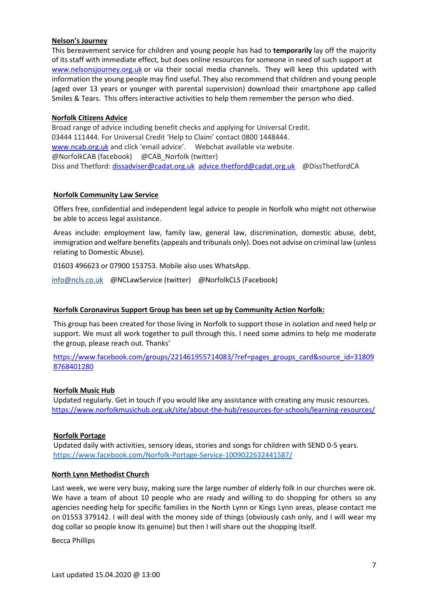#### **Nelson's Journey**

This bereavement service for children and young people has had to **temporarily** lay off the majority of its staff with immediate effect, but does online resources for someone in need of such support at [www.nelsonsjourney.org.uk](http://www.nelsonsjourney.org.uk/) or via their social media channels. They will keep this updated with information the young people may find useful. They also recommend that children and young people (aged over 13 years or younger with parental supervision) download their smartphone app called Smiles & Tears. This offers interactive activities to help them remember the person who died.

#### **Norfolk Citizens Advice**

Broad range of advice including benefit checks and applying for Universal Credit. 03444 111444. For Universal Credit 'Help to Claim' contact 0800 1448444. [www.ncab.org.uk](http://www.ncab.org.uk/) and click 'email advice'. Webchat available via website. @NorfolkCAB (facebook) @CAB\_Norfolk (twitter) Diss and Thetford: [dissadviser@cadat.org.uk](mailto:dissadviser@cadat.org.uk) [advice.thetford@cadat.org.uk](mailto:advice.thetford@cadat.org.uk) @DissThetfordCA

#### **Norfolk Community Law Service**

Offers free, confidential and independent legal advice to people in Norfolk who might not otherwise be able to access legal assistance.

Areas include: employment law, family law, general law, discrimination, domestic abuse, debt, immigration and welfare benefits (appeals and tribunals only). Does not advise on criminal law (unless relating to Domestic Abuse).

01603 496623 or 07900 153753. Mobile also uses WhatsApp.

[info@ncls.co.uk](mailto:info@ncls.co.uk) @NCLawService (twitter) @NorfolkCLS (Facebook)

### **Norfolk Coronavirus Support Group has been set up by Community Action Norfolk:**

This group has been created for those living in Norfolk to support those in isolation and need help or support. We must all work together to pull through this. I need some admins to help me moderate the group, please reach out. Thanks'

[https://www.facebook.com/groups/221461955714083/?ref=pages\\_groups\\_card&source\\_id=31809](https://www.facebook.com/groups/221461955714083/?ref=pages_groups_card&source_id=318098768401280) [8768401280](https://www.facebook.com/groups/221461955714083/?ref=pages_groups_card&source_id=318098768401280) 

#### **Norfolk Music Hub**

Updated regularly. Get in touch if you would like any assistance with creating any music resources. <https://www.norfolkmusichub.org.uk/site/about-the-hub/resources-for-schools/learning-resources/>

### **Norfolk Portage**

Updated daily with activities, sensory ideas, stories and songs for children with SEND 0-5 years. <https://www.facebook.com/Norfolk-Portage-Service-1009022632441587/>

#### **North Lynn Methodist Church**

Last week, we were very busy, making sure the large number of elderly folk in our churches were ok. We have a team of about 10 people who are ready and willing to do shopping for others so any agencies needing help for specific families in the North Lynn or Kings Lynn areas, please contact me on 01553 379142. I will deal with the money side of things (obviously cash only, and I will wear my dog collar so people know its genuine) but then I will share out the shopping itself.

Becca Phillips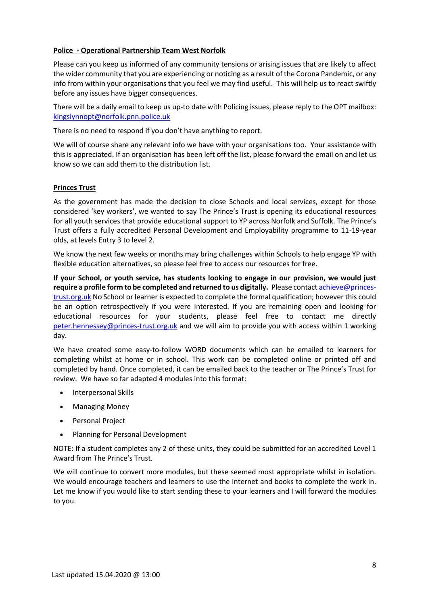## **Police - Operational Partnership Team West Norfolk**

Please can you keep us informed of any community tensions or arising issues that are likely to affect the wider community that you are experiencing or noticing as a result of the Corona Pandemic, or any info from within your organisations that you feel we may find useful. This will help us to react swiftly before any issues have bigger consequences.

There will be a daily email to keep us up-to date with Policing issues, please reply to the OPT mailbox: [kingslynnopt@norfolk.pnn.police.uk](mailto:kingslynnopt@norfolk.pnn.police.uk) 

There is no need to respond if you don't have anything to report.

We will of course share any relevant info we have with your organisations too. Your assistance with this is appreciated. If an organisation has been left off the list, please forward the email on and let us know so we can add them to the distribution list.

## **Princes Trust**

As the government has made the decision to close Schools and local services, except for those considered 'key workers', we wanted to say The Prince's Trust is opening its educational resources for all youth services that provide educational support to YP across Norfolk and Suffolk. The Prince's Trust offers a fully accredited Personal Development and Employability programme to 11-19-year olds, at levels Entry 3 to level 2.

We know the next few weeks or months may bring challenges within Schools to help engage YP with flexible education alternatives, so please feel free to access our resources for free.

**If your School, or youth service, has students looking to engage in our provision, we would just require a profile form to be completed and returned to us digitally.** Please contac[t achieve@princes](mailto:achieve@princes-trust.org.uk)[trust.org.uk](mailto:achieve@princes-trust.org.uk) No School or learner is expected to complete the formal qualification; however this could be an option retrospectively if you were interested. If you are remaining open and looking for educational resources for your students, please feel free to contact me directly [peter.hennessey@princes-trust.org.uk](mailto:peter.hennessey@princes-trust.org.uk) and we will aim to provide you with access within 1 working day.

We have created some easy-to-follow WORD documents which can be emailed to learners for completing whilst at home or in school. This work can be completed online or printed off and completed by hand. Once completed, it can be emailed back to the teacher or The Prince's Trust for review. We have so far adapted 4 modules into this format:

- Interpersonal Skills
- Managing Money
- Personal Project
- Planning for Personal Development

NOTE: If a student completes any 2 of these units, they could be submitted for an accredited Level 1 Award from The Prince's Trust.

We will continue to convert more modules, but these seemed most appropriate whilst in isolation. We would encourage teachers and learners to use the internet and books to complete the work in. Let me know if you would like to start sending these to your learners and I will forward the modules to you.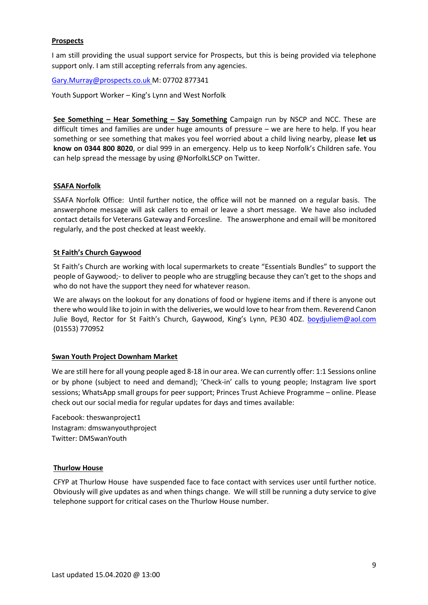## **Prospects**

I am still providing the usual support service for Prospects, but this is being provided via telephone support only. I am still accepting referrals from any agencies.

[Gary.Murray@prospects.co.uk](mailto:Gary.Murray@prospects.co.uk) M: 07702 877341

Youth Support Worker – King's Lynn and West Norfolk

**See Something – Hear Something – Say Something** Campaign run by NSCP and NCC. These are difficult times and families are under huge amounts of pressure – we are here to help. If you hear something or see something that makes you feel worried about a child living nearby, please **let us know on 0344 800 8020**, or dial 999 in an emergency. Help us to keep Norfolk's Children safe. You can help spread the message by using @NorfolkLSCP on Twitter.

### **SSAFA Norfolk**

SSAFA Norfolk Office: Until further notice, the office will not be manned on a regular basis. The answerphone message will ask callers to email or leave a short message. We have also included contact details for Veterans Gateway and Forcesline. The answerphone and email will be monitored regularly, and the post checked at least weekly.

#### **St Faith's Church Gaywood**

St Faith's Church are working with local supermarkets to create "Essentials Bundles" to support the people of Gaywood;- to deliver to people who are struggling because they can't get to the shops and who do not have the support they need for whatever reason.

We are always on the lookout for any donations of food or hygiene items and if there is anyone out there who would like to join in with the deliveries, we would love to hear from them. Reverend Canon Julie Boyd, Rector for St Faith's Church, Gaywood, King's Lynn, PE30 4DZ. [boydjuliem@aol.com](mailto:boydjuliem@aol.com) (01553) 770952

### **Swan Youth Project Downham Market**

We are still here for all young people aged 8-18 in our area. We can currently offer: 1:1 Sessions online or by phone (subject to need and demand); 'Check-in' calls to young people; Instagram live sport sessions; WhatsApp small groups for peer support; Princes Trust Achieve Programme – online. Please check out our social media for regular updates for days and times available:

Facebook: theswanproject1 Instagram: dmswanyouthproject Twitter: DMSwanYouth

### **Thurlow House**

CFYP at Thurlow House have suspended face to face contact with services user until further notice. Obviously will give updates as and when things change. We will still be running a duty service to give telephone support for critical cases on the Thurlow House number.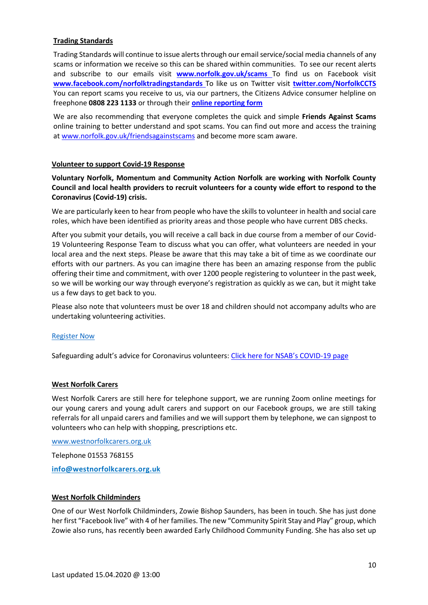## **Trading Standards**

Trading Standards will continue to issue alerts through our email service/social media channels of any scams or information we receive so this can be shared within communities. To see our recent alerts and subscribe to our emails visit **[www.norfolk.gov.uk/scams](http://www.norfolk.gov.uk/scams)** To find us on Facebook visit **[www.facebook.com/norfolktradingstandards](http://www.facebook.com/norfolktradingstandards)** To like us on Twitter visit **[twitter.com/NorfolkCCTS](http://twitter.com/NorfolkCCTS)** You can report scams you receive to us, via our partners, the Citizens Advice consumer helpline on freephone **0808 223 1133** or through their **[online reporting form](https://ssl.datamotion.com/form.aspx?co=3438&frm=general&to=flare.fromforms)**

We are also recommending that everyone completes the quick and simple **Friends Against Scams** online training to better understand and spot scams. You can find out more and access the training at [www.norfolk.gov.uk/friendsagainstscams](http://www.norfolk.gov.uk/friendsagainstscams) and become more scam aware.

#### **Volunteer to support Covid-19 Response**

**Voluntary Norfolk, Momentum and Community Action Norfolk are working with Norfolk County Council and local health providers to recruit volunteers for a county wide effort to respond to the Coronavirus (Covid-19) crisis.** 

We are particularly keen to hear from people who have the skills to volunteer in health and social care roles, which have been identified as priority areas and those people who have current DBS checks.

After you submit your details, you will receive a call back in due course from a member of our Covid-19 Volunteering Response Team to discuss what you can offer, what volunteers are needed in your local area and the next steps. Please be aware that this may take a bit of time as we coordinate our efforts with our partners. As you can imagine there has been an amazing response from the public offering their time and commitment, with over 1200 people registering to volunteer in the past week, so we will be working our way through everyone's registration as quickly as we can, but it might take us a few days to get back to you.

Please also note that volunteers must be over 18 and children should not accompany adults who are undertaking volunteering activities.

### [Register Now](https://app.betterimpact.com/Application?OrganizationGuid=1d6c5325-6c06-4625-a484-0c983e64619e&ApplicationFormNumber=1)

Safeguarding adult's advice for Coronavirus volunteers: [Click here for NSAB's COVID](https://www.norfolksafeguardingadultsboard.info/professionals/coronavirus-covid-19/)-19 page

### **West Norfolk Carers**

West Norfolk Carers are still here for telephone support, we are running Zoom online meetings for our young carers and young adult carers and support on our Facebook groups, we are still taking referrals for all unpaid carers and families and we will support them by telephone, we can signpost to volunteers who can help with shopping, prescriptions etc.

[www.westnorfolkcarers.org.uk](http://www.westnorfolkcarers.org.uk/)

Telephone 01553 768155

**[info@westnorfolkcarers.org.uk](mailto:info@westnorfolkcarers.org.uk)**

### **West Norfolk Childminders**

One of our West Norfolk Childminders, Zowie Bishop Saunders, has been in touch. She has just done her first "Facebook live" with 4 of her families. The new "Community Spirit Stay and Play" group, which Zowie also runs, has recently been awarded Early Childhood Community Funding. She has also set up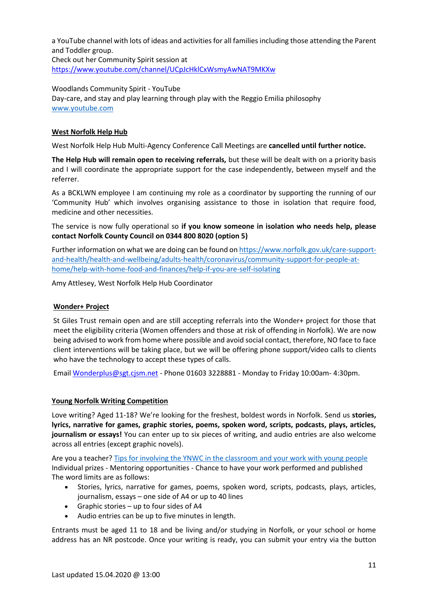a YouTube channel with lots of ideas and activities for all families including those attending the Parent and Toddler group. Check out her Community Spirit session at <https://www.youtube.com/channel/UCpJcHklCxWsmyAwNAT9MKXw>

Woodlands Community Spirit - YouTube Day-care, and stay and play learning through play with the Reggio Emilia philosophy [www.youtube.com](http://www.youtube.com/)

## **West Norfolk Help Hub**

West Norfolk Help Hub Multi-Agency Conference Call Meetings are **cancelled until further notice.**

**The Help Hub will remain open to receiving referrals,** but these will be dealt with on a priority basis and I will coordinate the appropriate support for the case independently, between myself and the referrer.

As a BCKLWN employee I am continuing my role as a coordinator by supporting the running of our 'Community Hub' which involves organising assistance to those in isolation that require food, medicine and other necessities.

The service is now fully operational so **if you know someone in isolation who needs help, please contact Norfolk County Council on 0344 800 8020 (option 5)** 

Further information on what we are doing can be found o[n https://www.norfolk.gov.uk/care-support](https://www.norfolk.gov.uk/care-support-and-health/health-and-wellbeing/adults-health/coronavirus/community-support-for-people-at-home/help-with-home-food-and-finances/help-if-you-are-self-isolating)[and-health/health-and-wellbeing/adults-health/coronavirus/community-support-for-people-at](https://www.norfolk.gov.uk/care-support-and-health/health-and-wellbeing/adults-health/coronavirus/community-support-for-people-at-home/help-with-home-food-and-finances/help-if-you-are-self-isolating)[home/help-with-home-food-and-finances/help-if-you-are-self-isolating](https://www.norfolk.gov.uk/care-support-and-health/health-and-wellbeing/adults-health/coronavirus/community-support-for-people-at-home/help-with-home-food-and-finances/help-if-you-are-self-isolating)

Amy Attlesey, West Norfolk Help Hub Coordinator

# **Wonder+ Project**

St Giles Trust remain open and are still accepting referrals into the Wonder+ project for those that meet the eligibility criteria (Women offenders and those at risk of offending in Norfolk). We are now being advised to work from home where possible and avoid social contact, therefore, NO face to face client interventions will be taking place, but we will be offering phone support/video calls to clients who have the technology to accept these types of calls.

Email [Wonderplus@sgt.cjsm.net](mailto:Wonderplus@sgt.cjsm.net) - Phone 01603 3228881 - Monday to Friday 10:00am- 4:30pm.

### **[Young Norfolk Writing Competition](https://nationalcentreforwriting.org.uk/ynwc/)**

Love writing? Aged 11-18? We're looking for the freshest, boldest words in Norfolk. Send us **stories, lyrics, narrative for games, graphic stories, poems, spoken word, scripts, podcasts, plays, articles, journalism or essays!** You can enter up to six pieces of writing, and audio entries are also welcome across all entries (except graphic novels).

Are you a teacher[? Tips for involving the YNWC in the classroom and your work with young people](http://nationalcentreforwriting.org.uk/wp-content/uploads/2020/01/Tips-for-involving-the-YNWC-in-the-classroomv2.pdf) Individual prizes - Mentoring opportunities - Chance to have your work performed and published The word limits are as follows:

- Stories, lyrics, narrative for games, poems, spoken word, scripts, podcasts, plays, articles, journalism, essays – one side of A4 or up to 40 lines
- Graphic stories up to four sides of A4
- Audio entries can be up to five minutes in length.

Entrants must be aged 11 to 18 and be living and/or studying in Norfolk, or your school or home address has an NR postcode. Once your writing is ready, you can submit your entry via the button